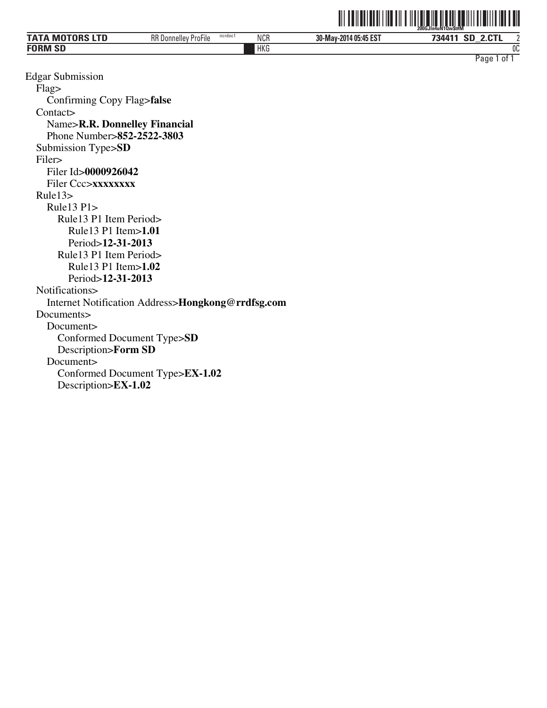|                     |                                        |            |                       | www.condition.com                                |
|---------------------|----------------------------------------|------------|-----------------------|--------------------------------------------------|
| <b>MOTORS</b><br>'N | RR D<br>ncrdoc1<br>3 Donnellev ProFile | <b>NCR</b> | 30-May-2014 05:45 EST | $\Omega$<br><b>CD</b><br>734411<br>ЭL<br>2.U I L |
| <b>FORM SD</b>      |                                        | HKG        |                       | 0C                                               |
|                     |                                        |            |                       | Page<br>0t                                       |

**THE INDIANAL HIM IN THE MANUSCRIPT OF A CONGRESS OF A CONGRESS OF A CONGRESS OF A CONGRESS OF A CONGRESS OF A** 

Edgar Submission Flag> Confirming Copy Flag>**false** Contact> Name>**R.R. Donnelley Financial** Phone Number>**852-2522-3803** Submission Type>**SD** Filer> Filer Id>**0000926042** Filer Ccc>**xxxxxxxx** Rule13> Rule13 P1> Rule13 P1 Item Period> Rule13 P1 Item>**1.01** Period>**12-31-2013** Rule13 P1 Item Period> Rule13 P1 Item>**1.02** Period>**12-31-2013** Notifications> Internet Notification Address>**Hongkong@rrdfsg.com** Documents> Document> Conformed Document Type>**SD** Description>**Form SD** Document> Conformed Document Type>**EX-1.02** Description>**EX-1.02**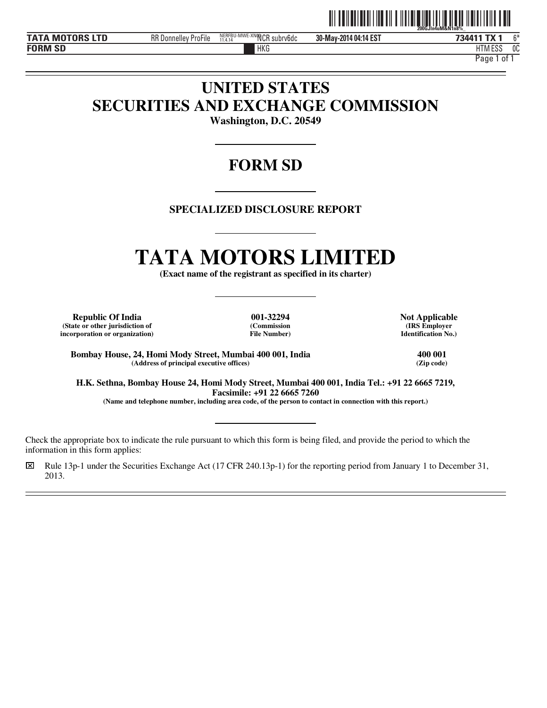

**FORM SD**

 $\overline{a}$  $\overline{a}$ 

 $\overline{a}$ 

**TATA MOTORS LTD** RR Donnelley ProFile NERFBU-MWE-XNNCR subrv6dc 30-May-2014 04:14 EST **734411 TX 1** 6\*

**30-May-2014 04:14 EST**

HKG HTM HTM ESS 0C

Page 1 of 1

# **UNITED STATES SECURITIES AND EXCHANGE COMMISSION**

**Washington, D.C. 20549** 

# **FORM SD**

# **SPECIALIZED DISCLOSURE REPORT**

# **TATA MOTORS LIMITED**

**(Exact name of the registrant as specified in its charter)** 

**Republic Of India 001-32294 Not Applicable (State or other jurisdiction of incorporation or organization)**

**(Commission File Number)**

**(IRS Employer Identification No.)**

**Bombay House, 24, Homi Mody Street, Mumbai 400 001, India 400 001**  $(Address of principal executive offices)$ 

**H.K. Sethna, Bombay House 24, Homi Mody Street, Mumbai 400 001, India Tel.: +91 22 6665 7219, Facsimile: +91 22 6665 7260** 

**(Name and telephone number, including area code, of the person to contact in connection with this report.)** 

Check the appropriate box to indicate the rule pursuant to which this form is being filed, and provide the period to which the information in this form applies:

⌧ Rule 13p-1 under the Securities Exchange Act (17 CFR 240.13p-1) for the reporting period from January 1 to December 31, 2013.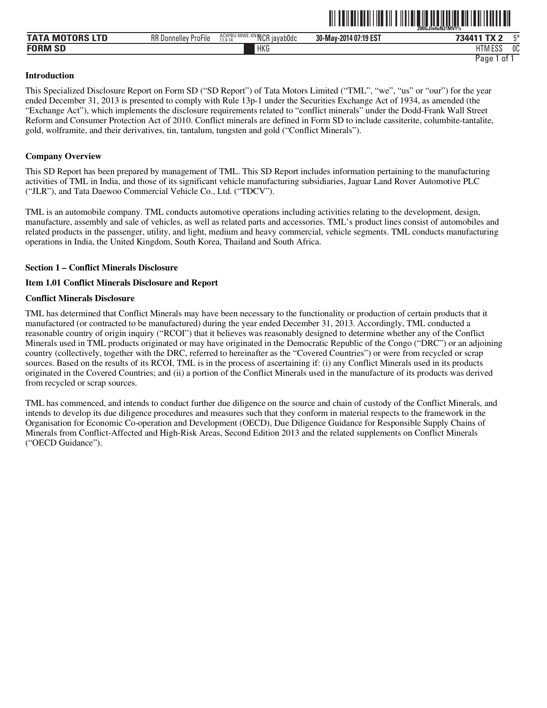|                                     |                                              |                                                    |                       | In4uN2IMVI%<br><b>200GJI</b>       |    |
|-------------------------------------|----------------------------------------------|----------------------------------------------------|-----------------------|------------------------------------|----|
| <b>utnre</b><br><b>TAT</b><br>IVI U | $-\cdot$ .<br><b>RR Donnelley</b><br>ProFile | '-MWE-XNINCR I<br>ACXFBU-<br>3 iavab0dc<br>11.4.14 | 30-May-2014 07:19 EST | $-11$<br>734411                    | FЖ |
| <b>FORM SD</b><br>⊣ אכ              |                                              | <b>HKG</b>                                         |                       | 1.500<br>11T<br>. .<br>פפם ועו ו ח | 0C |

<u>ni tanah tanah manjibat di kalendar dan manjibat da</u>

#### **Introduction**

This Specialized Disclosure Report on Form SD ("SD Report") of Tata Motors Limited ("TML", "we", "us" or "our") for the year ended December 31, 2013 is presented to comply with Rule 13p-1 under the Securities Exchange Act of 1934, as amended (the "Exchange Act"), which implements the disclosure requirements related to "conflict minerals" under the Dodd-Frank Wall Street Reform and Consumer Protection Act of 2010. Conflict minerals are defined in Form SD to include cassiterite, columbite-tantalite, gold, wolframite, and their derivatives, tin, tantalum, tungsten and gold ("Conflict Minerals").

#### **Company Overview**

This SD Report has been prepared by management of TML. This SD Report includes information pertaining to the manufacturing activities of TML in India, and those of its significant vehicle manufacturing subsidiaries, Jaguar Land Rover Automotive PLC ("JLR"), and Tata Daewoo Commercial Vehicle Co., Ltd. ("TDCV").

TML is an automobile company. TML conducts automotive operations including activities relating to the development, design, manufacture, assembly and sale of vehicles, as well as related parts and accessories. TML's product lines consist of automobiles and related products in the passenger, utility, and light, medium and heavy commercial, vehicle segments. TML conducts manufacturing operations in India, the United Kingdom, South Korea, Thailand and South Africa.

#### **Section 1 – Conflict Minerals Disclosure**

#### **Item 1.01 Conflict Minerals Disclosure and Report**

#### **Conflict Minerals Disclosure**

TML has determined that Conflict Minerals may have been necessary to the functionality or production of certain products that it manufactured (or contracted to be manufactured) during the year ended December 31, 2013. Accordingly, TML conducted a reasonable country of origin inquiry ("RCOI") that it believes was reasonably designed to determine whether any of the Conflict Minerals used in TML products originated or may have originated in the Democratic Republic of the Congo ("DRC") or an adjoining country (collectively, together with the DRC, referred to hereinafter as the "Covered Countries") or were from recycled or scrap sources. Based on the results of its RCOI, TML is in the process of ascertaining if: (i) any Conflict Minerals used in its products originated in the Covered Countries; and (ii) a portion of the Conflict Minerals used in the manufacture of its products was derived from recycled or scrap sources.

TML has commenced, and intends to conduct further due diligence on the source and chain of custody of the Conflict Minerals, and intends to develop its due diligence procedures and measures such that they conform in material respects to the framework in the Organisation for Economic Co-operation and Development (OECD), Due Diligence Guidance for Responsible Supply Chains of Minerals from Conflict-Affected and High-Risk Areas, Second Edition 2013 and the related supplements on Conflict Minerals ("OECD Guidance").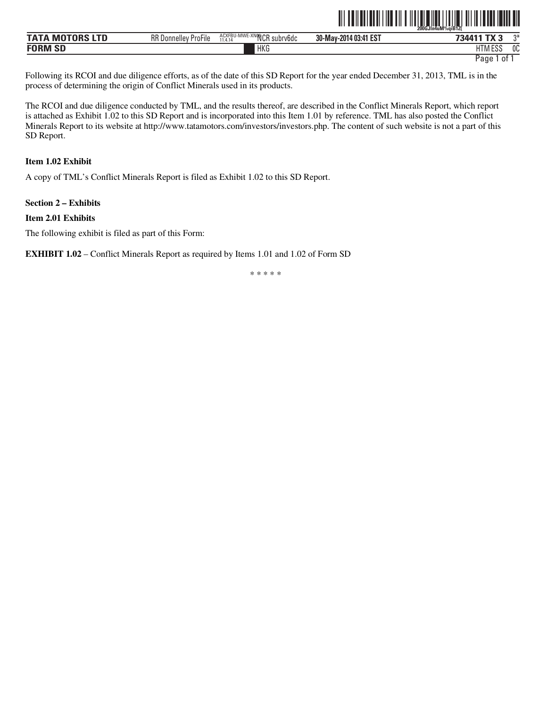|                        |                             |                                       | $^{\prime\prime}$ $\vert\vert\vert\vert\vert\vert\vert$ | 200GJIn4uM%aiB12( |    |
|------------------------|-----------------------------|---------------------------------------|---------------------------------------------------------|-------------------|----|
| <b>TATA MOTORS LTD</b> | <b>RR Donnelley ProFile</b> | ACXFBU-MWE-XNOOCR subry6dc<br>11.4.14 | 30-May-2014 03:41 EST                                   | 734411 TX 3       | つき |
| <b>FORM SD</b>         |                             | HKG                                   |                                                         | <b>HTM ESS</b>    | 0C |

Following its RCOI and due diligence efforts, as of the date of this SD Report for the year ended December 31, 2013, TML is in the process of determining the origin of Conflict Minerals used in its products.

The RCOI and due diligence conducted by TML, and the results thereof, are described in the Conflict Minerals Report, which report is attached as Exhibit 1.02 to this SD Report and is incorporated into this Item 1.01 by reference. TML has also posted the Conflict Minerals Report to its website at http://www.tatamotors.com/investors/investors.php. The content of such website is not a part of this SD Report.

#### **Item 1.02 Exhibit**

A copy of TML's Conflict Minerals Report is filed as Exhibit 1.02 to this SD Report.

#### **Section 2 – Exhibits**

#### **Item 2.01 Exhibits**

The following exhibit is filed as part of this Form:

**EXHIBIT 1.02** – Conflict Minerals Report as required by Items 1.01 and 1.02 of Form SD

\* \* \* \* \*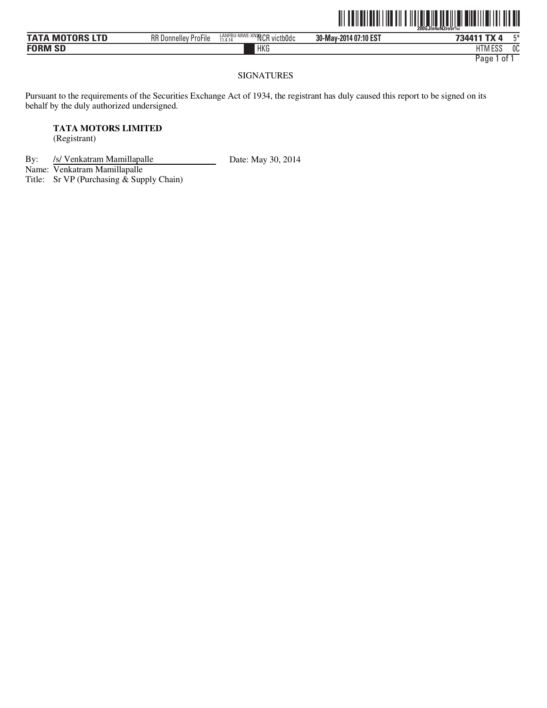|                        |                             |                                       |                       | <u> IIII III III III III III III I</u><br>200GJIn4uN2ro5r%i | ║║║ |
|------------------------|-----------------------------|---------------------------------------|-----------------------|-------------------------------------------------------------|-----|
| <b>TATA MOTORS LTD</b> | <b>RR Donnelley ProFile</b> | LANFBU-MWE-XN2NCR victb0dc<br>11.4.14 | 30-May-2014 07:10 EST | 734411 TX 4                                                 | г*  |
| <b>FORM SD</b>         |                             | <b>HKG</b>                            |                       | <b>HTM ESS</b>                                              | 0C  |

#### SIGNATURES

Pursuant to the requirements of the Securities Exchange Act of 1934, the registrant has duly caused this report to be signed on its behalf by the duly authorized undersigned.

## **TATA MOTORS LIMITED**

(Registrant)

By: /s/ Venkatram Mamillapalle Date: May 30, 2014

Name: Venkatram Mamillapalle

Title: Sr VP (Purchasing  $\stackrel{\cdot}{\&}$  Supply Chain)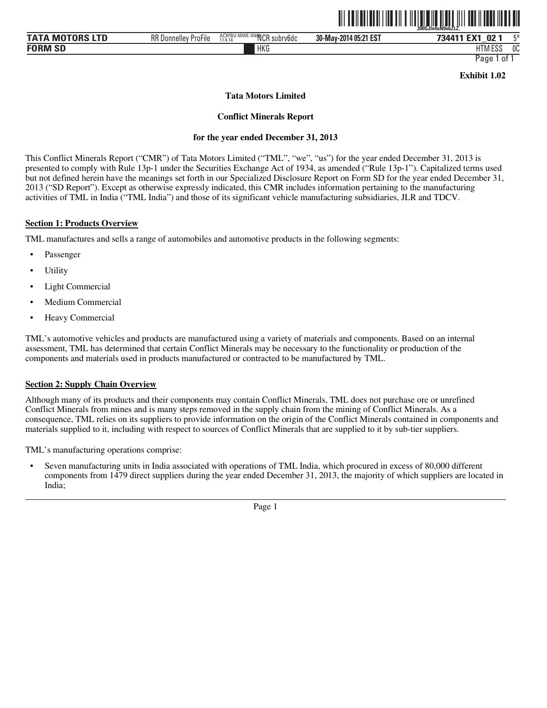|                                   |                             |                                                         |                       | .<br>200GJIn4uN0nbZLZ.                        |     |
|-----------------------------------|-----------------------------|---------------------------------------------------------|-----------------------|-----------------------------------------------|-----|
| M <sub>0</sub><br>A               | <b>RR Donnelley ProFile</b> | MWE-XNOGIOD.<br>ACXFBU-M<br>l subrv6dc<br>11.4.14<br>งษ | 30-May-2014 05:21 EST | 02 <sub>1</sub><br>734411<br><b>FV4</b><br>__ | rм. |
| $\mathbf{C}$<br><b>FORM</b><br>ЭL |                             | <b>HKG</b>                                              |                       | 1.500<br>LITI<br>טטם ועו ר                    | 0C  |

**Exhibit 1.02** 

<u>oli ta ilati latili ila til tilitala ila tituli ili ta il tast ilati all</u>

**Tata Motors Limited** 

**Conflict Minerals Report** 

#### **for the year ended December 31, 2013**

This Conflict Minerals Report ("CMR") of Tata Motors Limited ("TML", "we", "us") for the year ended December 31, 2013 is presented to comply with Rule 13p-1 under the Securities Exchange Act of 1934, as amended ("Rule 13p-1"). Capitalized terms used but not defined herein have the meanings set forth in our Specialized Disclosure Report on Form SD for the year ended December 31, 2013 ("SD Report"). Except as otherwise expressly indicated, this CMR includes information pertaining to the manufacturing activities of TML in India ("TML India") and those of its significant vehicle manufacturing subsidiaries, JLR and TDCV.

#### **Section 1: Products Overview**

TML manufactures and sells a range of automobiles and automotive products in the following segments:

- **Passenger**
- **Utility**
- Light Commercial
- Medium Commercial
- Heavy Commercial

TML's automotive vehicles and products are manufactured using a variety of materials and components. Based on an internal assessment, TML has determined that certain Conflict Minerals may be necessary to the functionality or production of the components and materials used in products manufactured or contracted to be manufactured by TML.

#### **Section 2: Supply Chain Overview**

Although many of its products and their components may contain Conflict Minerals, TML does not purchase ore or unrefined Conflict Minerals from mines and is many steps removed in the supply chain from the mining of Conflict Minerals. As a consequence, TML relies on its suppliers to provide information on the origin of the Conflict Minerals contained in components and materials supplied to it, including with respect to sources of Conflict Minerals that are supplied to it by sub-tier suppliers.

TML's manufacturing operations comprise:

• Seven manufacturing units in India associated with operations of TML India, which procured in excess of 80,000 different components from 1479 direct suppliers during the year ended December 31, 2013, the majority of which suppliers are located in India;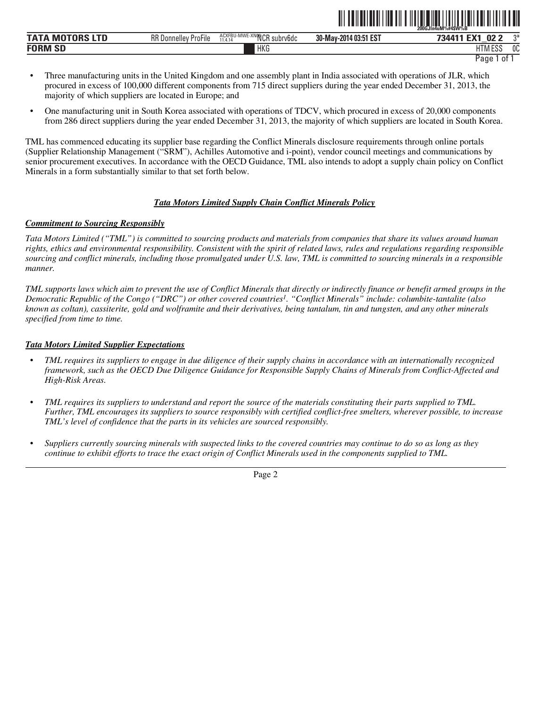|                           |                                                   |                                    |                       | 200GJIn4uM%#4SW%B                      |      |
|---------------------------|---------------------------------------------------|------------------------------------|-----------------------|----------------------------------------|------|
| MOTORS LTD<br><b>TATA</b> | חח<br>$-\cdot$ .<br>ProFile<br>. Donnellev<br>nn. | ACXFBU-MWE-XNOOCF<br>subrv6dc<br>. | 30-May-2014 03:51 EST | <b>FM</b><br>02 <sub>2</sub><br>734411 | $n+$ |
| <b>FORM SD</b>            |                                                   | <b>HKG</b>                         |                       | 1.500<br>1TA<br>۱۱۷۱ Lu                | 0C   |

```
Page 1 of 1
```
ˆ200GJln4uM%#4\$W%BŠ **200GJln4uM%#4\$W%B**

- Three manufacturing units in the United Kingdom and one assembly plant in India associated with operations of JLR, which procured in excess of 100,000 different components from 715 direct suppliers during the year ended December 31, 2013, the majority of which suppliers are located in Europe; and
- One manufacturing unit in South Korea associated with operations of TDCV, which procured in excess of 20,000 components from 286 direct suppliers during the year ended December 31, 2013, the majority of which suppliers are located in South Korea.

TML has commenced educating its supplier base regarding the Conflict Minerals disclosure requirements through online portals (Supplier Relationship Management ("SRM"), Achilles Automotive and i-point), vendor council meetings and communications by senior procurement executives. In accordance with the OECD Guidance, TML also intends to adopt a supply chain policy on Conflict Minerals in a form substantially similar to that set forth below.

#### *Tata Motors Limited Supply Chain Conflict Minerals Policy*

#### *Commitment to Sourcing Responsibly*

*Tata Motors Limited ("TML") is committed to sourcing products and materials from companies that share its values around human rights, ethics and environmental responsibility. Consistent with the spirit of related laws, rules and regulations regarding responsible sourcing and conflict minerals, including those promulgated under U.S. law, TML is committed to sourcing minerals in a responsible manner.* 

*TML supports laws which aim to prevent the use of Conflict Minerals that directly or indirectly finance or benefit armed groups in the Democratic Republic of the Congo ("DRC") or other covered countries1. "Conflict Minerals" include: columbite-tantalite (also known as coltan), cassiterite, gold and wolframite and their derivatives, being tantalum, tin and tungsten, and any other minerals specified from time to time.* 

#### *Tata Motors Limited Supplier Expectations*

- *• TML requires its suppliers to engage in due diligence of their supply chains in accordance with an internationally recognized framework, such as the OECD Due Diligence Guidance for Responsible Supply Chains of Minerals from Conflict-Affected and High-Risk Areas.*
- *• TML requires its suppliers to understand and report the source of the materials constituting their parts supplied to TML. Further, TML encourages its suppliers to source responsibly with certified conflict-free smelters, wherever possible, to increase TML's level of confidence that the parts in its vehicles are sourced responsibly.*
- *• Suppliers currently sourcing minerals with suspected links to the covered countries may continue to do so as long as they continue to exhibit efforts to trace the exact origin of Conflict Minerals used in the components supplied to TML.*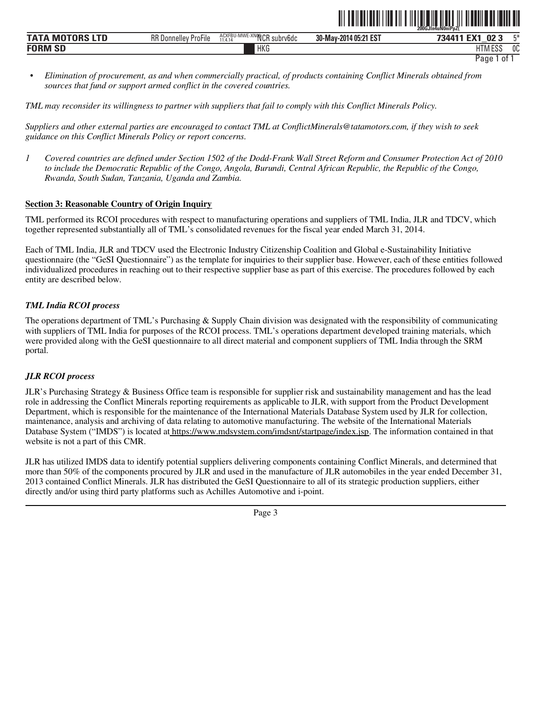|                  |                                                 |                                                                                                                          |                       | 200GJIn4uNUniPb2{               |       |
|------------------|-------------------------------------------------|--------------------------------------------------------------------------------------------------------------------------|-----------------------|---------------------------------|-------|
| <b>TATA</b><br>M | RR<br>$- \cdot \cdot$<br>ProFile<br>. Donnellev | $\sim$ $\sim$ $\sim$ $\sim$<br><b>I BALAIT</b><br>ACXFBU-M<br><b>HYPUA-</b><br>IVI V V I.<br>subry6dc<br>11.4.14<br>ושטו | 30-May-2014 05:21 EST | <b>FMA</b><br>794411<br>02<br>_ | $- x$ |
| <b>FORM SD</b>   |                                                 | HKG                                                                                                                      |                       | 11T11T0C<br>טסם ועו ד           | 0C    |

ˆ200GJln4uN0niPpZ{Š **200GJln4uN0niPpZ{**

*• Elimination of procurement, as and when commercially practical, of products containing Conflict Minerals obtained from sources that fund or support armed conflict in the covered countries.* 

*TML may reconsider its willingness to partner with suppliers that fail to comply with this Conflict Minerals Policy.* 

*Suppliers and other external parties are encouraged to contact TML at ConflictMinerals@tatamotors.com, if they wish to seek guidance on this Conflict Minerals Policy or report concerns.* 

*1 Covered countries are defined under Section 1502 of the Dodd-Frank Wall Street Reform and Consumer Protection Act of 2010 to include the Democratic Republic of the Congo, Angola, Burundi, Central African Republic, the Republic of the Congo, Rwanda, South Sudan, Tanzania, Uganda and Zambia.*

## **Section 3: Reasonable Country of Origin Inquiry**

TML performed its RCOI procedures with respect to manufacturing operations and suppliers of TML India, JLR and TDCV, which together represented substantially all of TML's consolidated revenues for the fiscal year ended March 31, 2014.

Each of TML India, JLR and TDCV used the Electronic Industry Citizenship Coalition and Global e-Sustainability Initiative questionnaire (the "GeSI Questionnaire") as the template for inquiries to their supplier base. However, each of these entities followed individualized procedures in reaching out to their respective supplier base as part of this exercise. The procedures followed by each entity are described below.

#### *TML India RCOI process*

The operations department of TML's Purchasing & Supply Chain division was designated with the responsibility of communicating with suppliers of TML India for purposes of the RCOI process. TML's operations department developed training materials, which were provided along with the GeSI questionnaire to all direct material and component suppliers of TML India through the SRM portal.

#### *JLR RCOI process*

JLR's Purchasing Strategy & Business Office team is responsible for supplier risk and sustainability management and has the lead role in addressing the Conflict Minerals reporting requirements as applicable to JLR, with support from the Product Development Department, which is responsible for the maintenance of the International Materials Database System used by JLR for collection, maintenance, analysis and archiving of data relating to automotive manufacturing. The website of the International Materials Database System ("IMDS") is located at https://www.mdsystem.com/imdsnt/startpage/index.jsp. The information contained in that website is not a part of this CMR.

JLR has utilized IMDS data to identify potential suppliers delivering components containing Conflict Minerals, and determined that more than 50% of the components procured by JLR and used in the manufacture of JLR automobiles in the year ended December 31, 2013 contained Conflict Minerals. JLR has distributed the GeSI Questionnaire to all of its strategic production suppliers, either directly and/or using third party platforms such as Achilles Automotive and i-point.

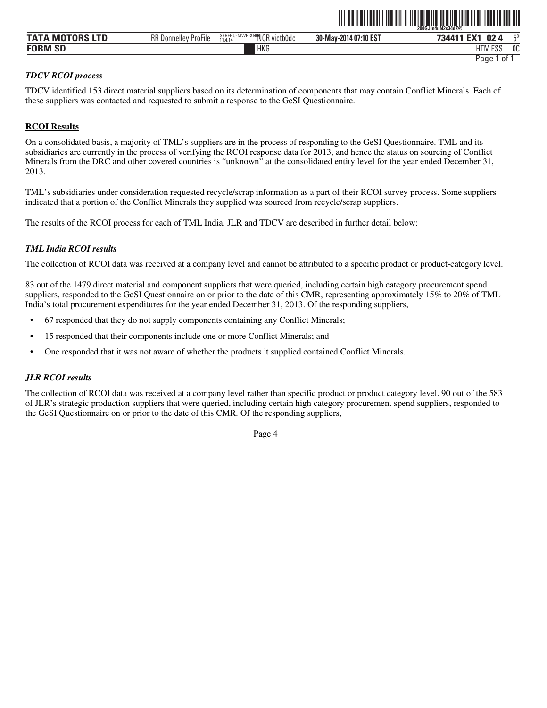|                       |                             |                                                                | - - -  -- . -- -.-- -  . | 200GJIn4uN2s34dZ@               |
|-----------------------|-----------------------------|----------------------------------------------------------------|--------------------------|---------------------------------|
| <b>MOTORS</b><br>ΤΑΤΑ | <b>RR Donnelley ProFile</b> | SERFBU-MWE-XNONIOD<br>' victb0dc<br>11 4 14<br>wur.<br>.1.4.19 | 30-May-2014 07:10 EST    | ГV4<br>г¥<br>734411<br>02<br>-- |
| <b>FORM SD</b>        |                             | <b>HKG</b>                                                     |                          | 0C<br>11T11F00<br>LIINI LƏƏ     |
|                       |                             |                                                                |                          | Page<br>0                       |

ˆ200GJln4uN2s34dZ@Š **200GJln4uN2s34dZ@**

#### *TDCV RCOI process*

TDCV identified 153 direct material suppliers based on its determination of components that may contain Conflict Minerals. Each of these suppliers was contacted and requested to submit a response to the GeSI Questionnaire.

#### **RCOI Results**

On a consolidated basis, a majority of TML's suppliers are in the process of responding to the GeSI Questionnaire. TML and its subsidiaries are currently in the process of verifying the RCOI response data for 2013, and hence the status on sourcing of Conflict Minerals from the DRC and other covered countries is "unknown" at the consolidated entity level for the year ended December 31, 2013.

TML's subsidiaries under consideration requested recycle/scrap information as a part of their RCOI survey process. Some suppliers indicated that a portion of the Conflict Minerals they supplied was sourced from recycle/scrap suppliers.

The results of the RCOI process for each of TML India, JLR and TDCV are described in further detail below:

#### *TML India RCOI results*

The collection of RCOI data was received at a company level and cannot be attributed to a specific product or product-category level.

83 out of the 1479 direct material and component suppliers that were queried, including certain high category procurement spend suppliers, responded to the GeSI Questionnaire on or prior to the date of this CMR, representing approximately 15% to 20% of TML India's total procurement expenditures for the year ended December 31, 2013. Of the responding suppliers,

- 67 responded that they do not supply components containing any Conflict Minerals;
- 15 responded that their components include one or more Conflict Minerals; and
- One responded that it was not aware of whether the products it supplied contained Conflict Minerals.

#### *JLR RCOI results*

The collection of RCOI data was received at a company level rather than specific product or product category level. 90 out of the 583 of JLR's strategic production suppliers that were queried, including certain high category procurement spend suppliers, responded to the GeSI Questionnaire on or prior to the date of this CMR. Of the responding suppliers,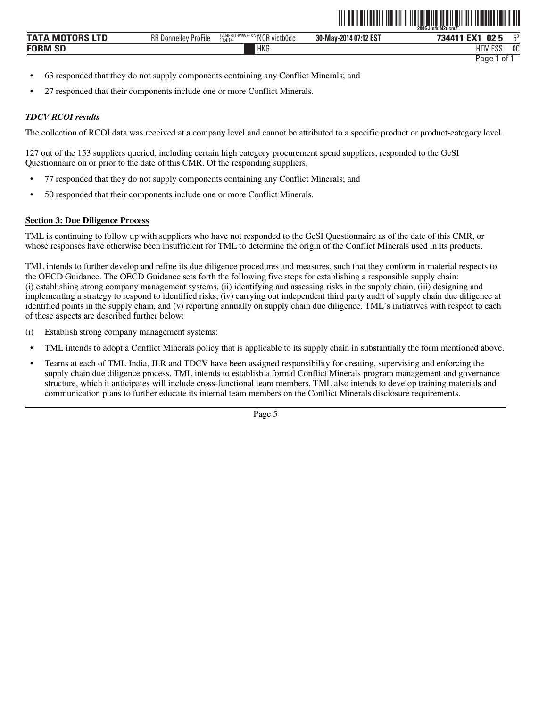|                           |                             |                                       |                       | 200GJIn4uN2ticmZ                                         |
|---------------------------|-----------------------------|---------------------------------------|-----------------------|----------------------------------------------------------|
| ΤΑΤΑ<br><b>MOTORS LTD</b> | <b>RR Donnelley ProFile</b> | LANFBU-MWE-XN2VCR victb0dc<br>11.4.14 | 30-May-2014 07:12 EST | . For 100<br>E*<br>02 <sub>5</sub><br>734411             |
| <b>FORM SD</b>            |                             | <b>HKG</b>                            |                       | <sub>0</sub> C<br><b>I ITM FCC</b><br>H I MI<br>٠<br>∟ບເ |
|                           |                             |                                       |                       | Page<br>0t                                               |

ˆ200GJln4uN2ticmZÅŠ **200GJln4uN2ticmZ¯**

- 63 responded that they do not supply components containing any Conflict Minerals; and
- 27 responded that their components include one or more Conflict Minerals.

#### *TDCV RCOI results*

The collection of RCOI data was received at a company level and cannot be attributed to a specific product or product-category level.

127 out of the 153 suppliers queried, including certain high category procurement spend suppliers, responded to the GeSI Questionnaire on or prior to the date of this CMR. Of the responding suppliers,

- 77 responded that they do not supply components containing any Conflict Minerals; and
- 50 responded that their components include one or more Conflict Minerals.

#### **Section 3: Due Diligence Process**

TML is continuing to follow up with suppliers who have not responded to the GeSI Questionnaire as of the date of this CMR, or whose responses have otherwise been insufficient for TML to determine the origin of the Conflict Minerals used in its products.

TML intends to further develop and refine its due diligence procedures and measures, such that they conform in material respects to the OECD Guidance. The OECD Guidance sets forth the following five steps for establishing a responsible supply chain: (i) establishing strong company management systems, (ii) identifying and assessing risks in the supply chain, (iii) designing and implementing a strategy to respond to identified risks, (iv) carrying out independent third party audit of supply chain due diligence at identified points in the supply chain, and (v) reporting annually on supply chain due diligence. TML's initiatives with respect to each of these aspects are described further below:

- (i) Establish strong company management systems:
- TML intends to adopt a Conflict Minerals policy that is applicable to its supply chain in substantially the form mentioned above.
- Teams at each of TML India, JLR and TDCV have been assigned responsibility for creating, supervising and enforcing the supply chain due diligence process. TML intends to establish a formal Conflict Minerals program management and governance structure, which it anticipates will include cross-functional team members. TML also intends to develop training materials and communication plans to further educate its internal team members on the Conflict Minerals disclosure requirements.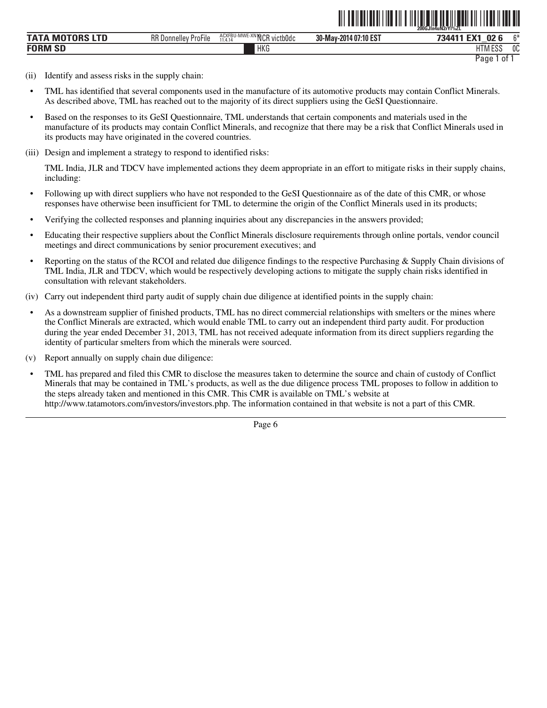|                           |                             |                                       | ----------------------- | 200GJIn4uN2rYI%ZL                         |
|---------------------------|-----------------------------|---------------------------------------|-------------------------|-------------------------------------------|
| TATA<br><b>MOTORS LTD</b> | <b>RR Donnelley ProFile</b> | ACXFBU-MWE-XNINCR victb0dc<br>11.4.14 | 30-May-2014 07:10 EST   | $\sim$<br>EV <sub>1</sub><br>734411<br>02 |
| <b>FORM SD</b>            |                             | HKG                                   |                         | OC<br><b>HTM ESS</b><br>ن ت∟ا             |
|                           |                             |                                       |                         | ⊵aqe<br>0t                                |

ˆ200GJln4uN2rYl%ZLŠ

- (ii) Identify and assess risks in the supply chain:
- TML has identified that several components used in the manufacture of its automotive products may contain Conflict Minerals. As described above, TML has reached out to the majority of its direct suppliers using the GeSI Questionnaire.
- Based on the responses to its GeSI Questionnaire, TML understands that certain components and materials used in the manufacture of its products may contain Conflict Minerals, and recognize that there may be a risk that Conflict Minerals used in its products may have originated in the covered countries.
- (iii) Design and implement a strategy to respond to identified risks:

TML India, JLR and TDCV have implemented actions they deem appropriate in an effort to mitigate risks in their supply chains, including:

- Following up with direct suppliers who have not responded to the GeSI Questionnaire as of the date of this CMR, or whose responses have otherwise been insufficient for TML to determine the origin of the Conflict Minerals used in its products;
- Verifying the collected responses and planning inquiries about any discrepancies in the answers provided;
- Educating their respective suppliers about the Conflict Minerals disclosure requirements through online portals, vendor council meetings and direct communications by senior procurement executives; and
- Reporting on the status of the RCOI and related due diligence findings to the respective Purchasing & Supply Chain divisions of TML India, JLR and TDCV, which would be respectively developing actions to mitigate the supply chain risks identified in consultation with relevant stakeholders.
- (iv) Carry out independent third party audit of supply chain due diligence at identified points in the supply chain:
- As a downstream supplier of finished products, TML has no direct commercial relationships with smelters or the mines where the Conflict Minerals are extracted, which would enable TML to carry out an independent third party audit. For production during the year ended December 31, 2013, TML has not received adequate information from its direct suppliers regarding the identity of particular smelters from which the minerals were sourced.
- (v) Report annually on supply chain due diligence:
- TML has prepared and filed this CMR to disclose the measures taken to determine the source and chain of custody of Conflict Minerals that may be contained in TML's products, as well as the due diligence process TML proposes to follow in addition to the steps already taken and mentioned in this CMR. This CMR is available on TML's website at http://www.tatamotors.com/investors/investors.php. The information contained in that website is not a part of this CMR.